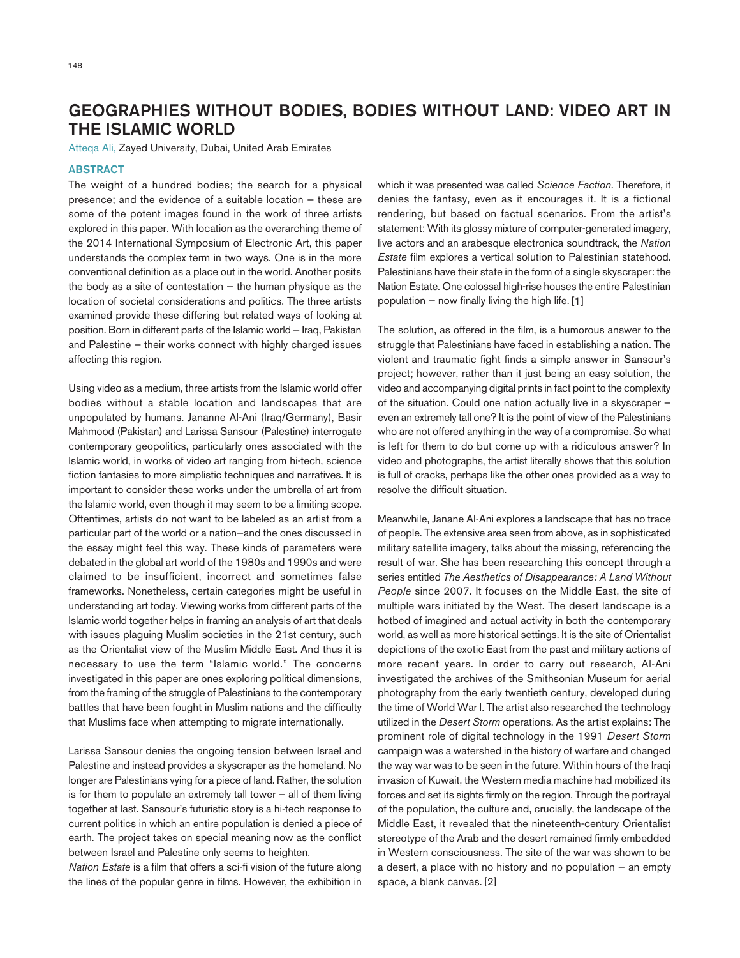## GEOGRAPHIES WITHOUT BODIES, BODIES WITHOUT LAND: VIDEO ART IN THE ISLAMIC WORLD

Atteqa Ali, Zayed University, Dubai, United Arab Emirates

## **ABSTRACT**

The weight of a hundred bodies; the search for a physical presence; and the evidence of a suitable location — these are some of the potent images found in the work of three artists explored in this paper. With location as the overarching theme of the 2014 International Symposium of Electronic Art, this paper understands the complex term in two ways. One is in the more conventional definition as a place out in the world. Another posits the body as a site of contestation — the human physique as the location of societal considerations and politics. The three artists examined provide these differing but related ways of looking at position. Born in different parts of the Islamic world — Iraq, Pakistan and Palestine — their works connect with highly charged issues affecting this region.

Using video as a medium, three artists from the Islamic world offer bodies without a stable location and landscapes that are unpopulated by humans. Jananne Al-Ani (Iraq/Germany), Basir Mahmood (Pakistan) and Larissa Sansour (Palestine) interrogate contemporary geopolitics, particularly ones associated with the Islamic world, in works of video art ranging from hi-tech, science fiction fantasies to more simplistic techniques and narratives. It is important to consider these works under the umbrella of art from the Islamic world, even though it may seem to be a limiting scope. Oftentimes, artists do not want to be labeled as an artist from a particular part of the world or a nation—and the ones discussed in the essay might feel this way. These kinds of parameters were debated in the global art world of the 1980s and 1990s and were claimed to be insufficient, incorrect and sometimes false frameworks. Nonetheless, certain categories might be useful in understanding art today. Viewing works from different parts of the Islamic world together helps in framing an analysis of art that deals with issues plaguing Muslim societies in the 21st century, such as the Orientalist view of the Muslim Middle East. And thus it is necessary to use the term "Islamic world." The concerns investigated in this paper are ones exploring political dimensions, from the framing of the struggle of Palestinians to the contemporary battles that have been fought in Muslim nations and the difficulty that Muslims face when attempting to migrate internationally.

Larissa Sansour denies the ongoing tension between Israel and Palestine and instead provides a skyscraper as the homeland. No longer are Palestinians vying for a piece of land. Rather, the solution is for them to populate an extremely tall tower — all of them living together at last. Sansour's futuristic story is a hi-tech response to current politics in which an entire population is denied a piece of earth. The project takes on special meaning now as the conflict between Israel and Palestine only seems to heighten.

*Nation Estate* is a film that offers a sci-fi vision of the future along the lines of the popular genre in films. However, the exhibition in which it was presented was called *Science Faction.* Therefore, it denies the fantasy, even as it encourages it. It is a fictional rendering, but based on factual scenarios. From the artist's statement: With its glossy mixture of computer-generated imagery, live actors and an arabesque electronica soundtrack, the *Nation Estate* film explores a vertical solution to Palestinian statehood. Palestinians have their state in the form of a single skyscraper: the Nation Estate. One colossal high-rise houses the entire Palestinian population  $-$  now finally living the high life. [1]

The solution, as offered in the film, is a humorous answer to the struggle that Palestinians have faced in establishing a nation. The violent and traumatic fight finds a simple answer in Sansour's project; however, rather than it just being an easy solution, the video and accompanying digital prints in fact point to the complexity of the situation. Could one nation actually live in a skyscraper even an extremely tall one? It is the point of view of the Palestinians who are not offered anything in the way of a compromise. So what is left for them to do but come up with a ridiculous answer? In video and photographs, the artist literally shows that this solution is full of cracks, perhaps like the other ones provided as a way to resolve the difficult situation.

Meanwhile, Janane Al-Ani explores a landscape that has no trace of people. The extensive area seen from above, as in sophisticated military satellite imagery, talks about the missing, referencing the result of war. She has been researching this concept through a series entitled *The Aesthetics of Disappearance: A Land Without People* since 2007. It focuses on the Middle East, the site of multiple wars initiated by the West. The desert landscape is a hotbed of imagined and actual activity in both the contemporary world, as well as more historical settings. It is the site of Orientalist depictions of the exotic East from the past and military actions of more recent years. In order to carry out research, Al-Ani investigated the archives of the Smithsonian Museum for aerial photography from the early twentieth century, developed during the time of World War I. The artist also researched the technology utilized in the *Desert Storm* operations. As the artist explains: The prominent role of digital technology in the 1991 *Desert Storm*  campaign was a watershed in the history of warfare and changed the way war was to be seen in the future. Within hours of the Iraqi invasion of Kuwait, the Western media machine had mobilized its forces and set its sights firmly on the region. Through the portrayal of the population, the culture and, crucially, the landscape of the Middle East, it revealed that the nineteenth-century Orientalist stereotype of the Arab and the desert remained firmly embedded in Western consciousness. The site of the war was shown to be a desert, a place with no history and no population  $-$  an empty space, a blank canvas. [2]